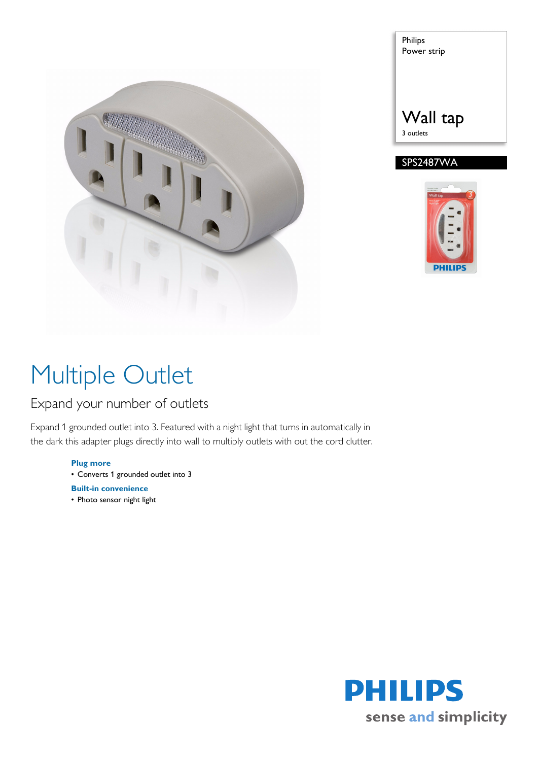

| <b>Philips</b><br>Power strip |  |
|-------------------------------|--|
|                               |  |
| Wall tap                      |  |



# Multiple Outlet

### Expand your number of outlets

Expand 1 grounded outlet into 3. Featured with a night light that turns in automatically in the dark this adapter plugs directly into wall to multiply outlets with out the cord clutter.

> **Plug more** • Converts 1 grounded outlet into 3

- **Built-in convenience**
- Photo sensor night light